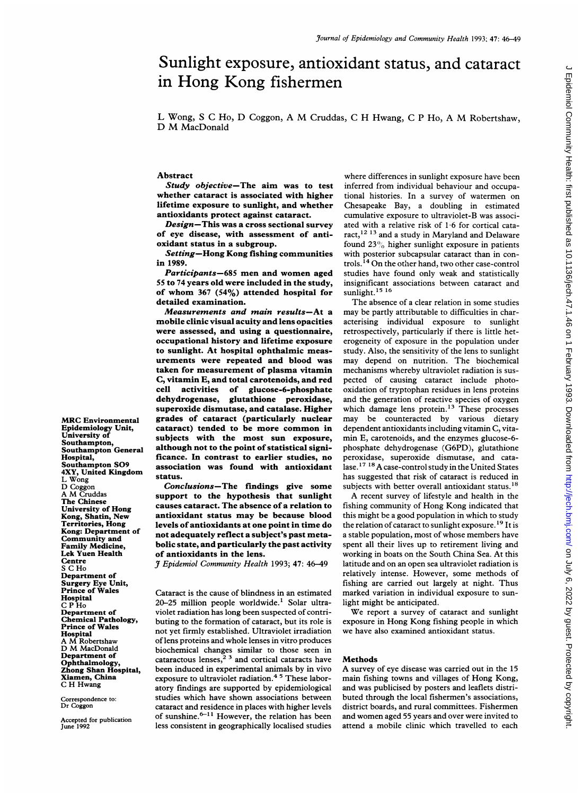# Sunlight exposure, antioxidant status, and cataract in Hong Kong fishermen

L Wong, <sup>S</sup> <sup>C</sup> Ho, D Coggon, A M Cruddas, <sup>C</sup> H Hwang, <sup>C</sup> <sup>P</sup> Ho, A M Robertshaw, D M MacDonald

### Abstract

Study objective-The aim was to test whether cataract is associated with higher lifetime exposure to sunlight, and whether antioxidants protect against cataract.

Design-This was a cross sectional survey of eye disease, with assessment of antioxidant status in a subgroup.

Setting-Hong Kong fishing communities in 1989.

Participants-685 men and women aged 55 to 74 years old were included in the study, of whom <sup>367</sup> (54%) attended hospital for detailed examination.

Measurements and main results-At a mobile clinic visual acuity and lens opacities were assessed, and using a questionnaire, occupational history and lifetime exposure to sunlight. At hospital ophthalmic measurements were repeated and blood was taken for measurement of plasma vitamin C, vitamin E, and total carotenoids, and red cell activities of glucose-6-phosphate dehydrogenase, glutathione peroxidase, superoxide dismutase, and catalase. Higher grades of cataract (particularly nuclear cataract) tended to be more common in subjects with the most sun exposure, although not to the point of statistical significance. In contrast to earlier studies, no association was found with antioxidant status.

Conclusions-The findings give some support to the hypothesis that sunlight causes cataract. The absence of a relation to antioxidant status may be because blood levels of antioxidants at one point in time do not adequately reflect a subject's past metabolic state, and particularly the past activity of antioxidants in the lens.

J Epidemiol Community Health 1993; 47: 46-49

Cataract is the cause of blindness in an estimated 20-25 million people worldwide.<sup>1</sup> Solar ultraviolet radiation has long been suspected of contributing to the formation of cataract, but its role is not yet firmly established. Ultraviolet irradiation of lens proteins and whole lenses in vitro produces biochemical changes similar to those seen in cataractous lenses,<sup>23</sup> and cortical cataracts have been induced in experimental animals by in vivo exposure to ultraviolet radiation.<sup>45</sup> These laboratory findings are supported by epidemiological studies which have shown associations between cataract and residence in places with higher levels of sunshine. $6-11$  However, the relation has been less consistent in geographically localised studies

where differences in sunlight exposure have been inferred from individual behaviour and occupational histories. In a survey of watermen on Chesapeake Bay, a doubling in estimated cumulative exposure to ultraviolet-B was associated with a relative risk of 1-6 for cortical cataract,<sup>12 13</sup> and a study in Maryland and Delaware found  $23\%$  higher sunlight exposure in patients with posterior subcapsular cataract than in controls. <sup>14</sup> On the other hand, two other case-control studies have found only weak and statistically insignificant associations between cataract and sunlight.<sup>15</sup> 16

The absence of <sup>a</sup> clear relation in some studies may be partly attributable to difficulties in characterising individual exposure to sunlight retrospectively, particularly if there is little heterogeneity of exposure in the population under study. Also, the sensitivity of the lens to sunlight may depend on nutrition. The biochemical mechanisms whereby ultraviolet radiation is suspected of causing cataract include photooxidation of tryptophan residues in lens proteins and the generation of reactive species of oxygen which damage lens protein.<sup>13</sup> These processes may be counteracted by various dietary dependent antioxidants including vitamin C, vitamin E, carotenoids, and the enzymes glucose-6 phosphate dehydrogenase (G6PD), glutathione peroxidase, superoxide dismutase, and catalase. <sup>17</sup> <sup>18</sup> A case-control study in the United States has suggested that risk of cataract is reduced in subjects with better overall antioxidant status.<sup>18</sup>

A recent survey of lifestyle and health in the fishing community of Hong Kong indicated that this might be a good population in which to study the relation of cataract to sunlight exposure.<sup>19</sup> It is a stable population, most of whose members have spent all their lives up to retirement living and working in boats on the South China Sea. At this latitude and on an open sea ultraviolet radiation is relatively intense. However, some methods of fishing are carried out largely at night. Thus marked variation in individual exposure to sunlight might be anticipated.

We report <sup>a</sup> survey of cataract and sunlight exposure in Hong Kong fishing people in which we have also examined antioxidant status.

## Methods

A survey of eye disease was carried out in the <sup>15</sup> main fishing towns and villages of Hong Kong, and was publicised by posters and leaflets distributed through the local fishermen's associations, district boards, and rural committees. Fishermen and women aged 55 years and over were invited to attend a mobile clinic which travelled to each

Epidemiology Unit, University of Southampton, Southampton General Hospital, Southampton S09 4XY, United Kingdom L Wong D Coggon A M Cruddas The Chinese University of Hong Kong, Shatin, New Territories, Hong Kong: Department of Community and Family Medicine, Lek Yuen Health Centre S C Ho Department of Surgery Eye Unit, Prince of Wales Hospital C P Ho Department of Chemical Pathology, Prince of Wales **Hospital** A M Robertshaw D M MacDonald Department of Ophthalmology, Zhong Shan Hospital, Xiamen, China C H Hwang

MRC Environmental

Correspondence to: Dr Coggon

Accepted for publication June 1992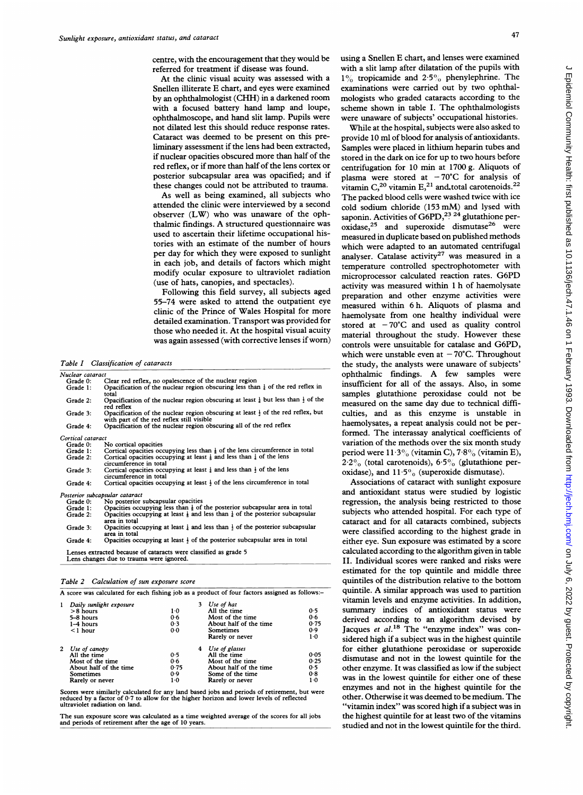centre, with the encouragement that they would be referred for treatment if disease was found.

At the clinic visual acuity was assessed with a Snellen illiterate E chart, and eyes were examined by an ophthalmologist (CHH) in a darkened room with a focused battery hand lamp and loupe, ophthalmoscope, and hand slit lamp. Pupils were not dilated lest this should reduce response rates. Cataract was deemed to be present on this preliminary assessment if the lens had been extracted, if nuclear opacities obscured more than half of the red reflex, or if more than half of the lens cortex or posterior subcapsular area was opacified; and if these changes could not be attributed to trauma.

As well as being examined, all subjects who attended the clinic were interviewed by a second observer (LW) who was unaware of the ophthalmic findings. A structured questionnaire was used to ascertain their lifetime occupational histories with an estimate of the number of hours per day for which they were exposed to sunlight in each job, and details of factors which might modify ocular exposure to ultraviolet radiation (use of hats, canopies, and spectacles).

Following this field survey, all subjects aged 55-74 were asked to attend the outpatient eye clinic of the Prince of Wales Hospital for more detailed examination. Transport was provided for those who needed it. At the hospital visual acuity was again assessed (with corrective lenses if worn)

Table I Classification of cataracts

| Nuclear cataract  |                                                                                                                                          |
|-------------------|------------------------------------------------------------------------------------------------------------------------------------------|
| Grade 0:          | Clear red reflex, no opalescence of the nuclear region                                                                                   |
| Grade 1:          | Opacification of the nuclear region obscuring less than $\frac{1}{4}$ of the red reflex in<br>total                                      |
| Grade 2:          | Opacification of the nuclear region obscuring at least $\frac{1}{4}$ but less than $\frac{1}{2}$ of the<br>red reflex                    |
| Grade 3:          | Opacification of the nuclear region obscuring at least $\frac{1}{2}$ of the red reflex, but<br>with part of the red reflex still visible |
| Grade 4:          | Opacification of the nuclear region obscuring all of the red reflex                                                                      |
| Cortical cataract |                                                                                                                                          |
| Grade 0:          | No cortical opacities                                                                                                                    |
| Grade 1:          | Cortical opacities occupying less than $\frac{1}{2}$ of the lens circumference in total                                                  |
| Grade 2:          | Cortical opacities occupying at least $\frac{1}{6}$ and less than $\frac{1}{4}$ of the lens<br>circumference in total                    |
| Grade 3:          | Cortical opacities occupying at least $\frac{1}{4}$ and less than $\frac{1}{2}$ of the lens<br>circumference in total                    |
| Grade 4:          | Cortical opacities occupying at least $\frac{1}{2}$ of the lens circumference in total                                                   |
|                   | Posterior subcapsular cataract                                                                                                           |
| Grade 0:          | No posterior subcapsular opacities                                                                                                       |
| Grade 1:          | Opacities occupying less than $\frac{1}{6}$ of the posterior subcapsular area in total                                                   |
| Grade 2:          | Opacities occupying at least $\frac{1}{6}$ and less than $\frac{1}{4}$ of the posterior subcapsular<br>area in total                     |
| Grade 3:          | Opacities occupying at least $\frac{1}{4}$ and less than $\frac{1}{2}$ of the posterior subcapsular<br>area in total                     |
| Grade 4:          | Opacities occupying at least $\frac{1}{2}$ of the posterior subcapsular area in total                                                    |

Lenses extracted because of cataracts were classified as grade 5 Lens changes due to trauma were ignored.

Table 2 Calculation of sun exposure score

A score was calculated for each fishing job as <sup>a</sup> product of four factors assigned as follows:-

|              | Daily sunlight exposure |       | 3 | Use of hat             |       |
|--------------|-------------------------|-------|---|------------------------|-------|
|              | $>8$ hours              | $1-0$ |   | All the time           | 0.5   |
|              | 5–8 hours               | 0.6   |   | Most of the time       | 0.6   |
|              | $1-4$ hours             | 0.3   |   | About half of the time | 0.75  |
|              | $<$ 1 hour              | 0.0   |   | <b>Sometimes</b>       | 0.9   |
|              |                         |       |   | Rarely or never        | 1·0   |
| $\mathbf{2}$ | Use of canopy           |       |   | Use of glasses         |       |
|              | All the time            | 0.5   |   | All the time           | 0.05  |
|              | Most of the time        | 0.6   |   | Most of the time       | 0.25  |
|              | About half of the time  | 0.75  |   | About half of the time | 0.5   |
|              | <b>Sometimes</b>        | 0.9   |   | Some of the time       | 0.8   |
|              | Rarely or never         | 1.0   |   | Rarely or never        | $1-0$ |
|              |                         |       |   |                        |       |

Scores were similarly calculated for any land based jobs and periods of retirement, but were reduced by a factor of 0 7 to allow for the higher horizon and lower levels of reflected ultraviolet radiation on land.

The sun exposure score was calculated as a time weighted average of the scores for all jobs and periods of retirement after the age of 10 years.

using <sup>a</sup> Snellen E chart, and lenses were examined with a slit lamp after dilatation of the pupils with  $1\%$  tropicamide and  $2.5\%$  phenylephrine. The examinations were carried out by two ophthalmologists who graded cataracts according to the scheme shown in table I. The ophthalmologists were unaware of subjects' occupational histories.

While at the hospital, subjects were also asked to provide 10 ml of blood for analysis of antioxidants. Samples were placed in lithium heparin tubes and stored in the dark on ice for up to two hours before centrifugation for 10 min at 1700 g. Aliquots of plasma were stored at  $-70^{\circ}$ C for analysis of vitamin  $C<sub>1</sub><sup>20</sup>$  vitamin  $E<sub>1</sub><sup>21</sup>$  and total carotenoids.<sup>22</sup> The packed blood cells were washed twice with ice cold sodium chloride (153 mM) and lysed with saponin. Activities of G6PD,<sup>23 24</sup> glutathione per $oxidase<sub>25</sub>$  and superoxide dismutase<sup>26</sup> were measured in duplicate based on published methods which were adapted to an automated centrifugal analyser. Catalase activity<sup>27</sup> was measured in a temperature controlled spectrophotometer with microprocessor calculated reaction rates. G6PD activity was measured within <sup>1</sup> h of haemolysate preparation and other enzyme activities were measured within 6h. Aliquots of plasma and haemolysate from one healthy individual were stored at  $-70^{\circ}$ C and used as quality control material throughout the study. However these controls were unsuitable for catalase and G6PD, which were unstable even at  $-70^{\circ}$ C. Throughout the study, the analysts were unaware of subjects' ophthalmic findings. A few samples were insufficient for all of the assays. Also, in some samples glutathione peroxidase could not be measured on the same day due to technical difficulties, and as this enzyme is unstable in haemolysates, a repeat analysis could not be performed. The interassay analytical coefficients of variation of the methods over the six month study period were  $11·3%$  (vitamin C),  $7·8%$  (vitamin E),  $2.2\%$  (total carotenoids),  $6.5\%$  (glutathione peroxidase), and  $11.5\%$  (superoxide dismutase).

Associations of cataract with sunlight exposure and antioxidant status were studied by logistic regression, the analysis being restricted to those subjects who attended hospital. For each type of cataract and for all cataracts combined, subjects were classified according to the highest grade in either eye. Sun exposure was estimated by a score calculated according to the algorithm given in table II. Individual scores were ranked and risks were estimated for the top quintile and middle three quintiles of the distribution relative to the bottom quintile. A similar approach was used to partition vitamin levels and enzyme activities. In addition, summary indices of antioxidant status were derived according to an algorithm devised by Jacques et  $al.^{18}$  The "enzyme index" was considered high if a subject was in the highest quintile for either glutathione peroxidase or superoxide dismutase and not in the lowest quintile for the other enzyme. It was classified as low if the subject was in the lowest quintile for either one of these enzymes and not in the highest quintile for the other. Otherwise it was deemed to be medium. The "vitamin index" was scored high if a subject was in the highest quintile for at least two of the vitamins studied and not in the lowest quintile for the third.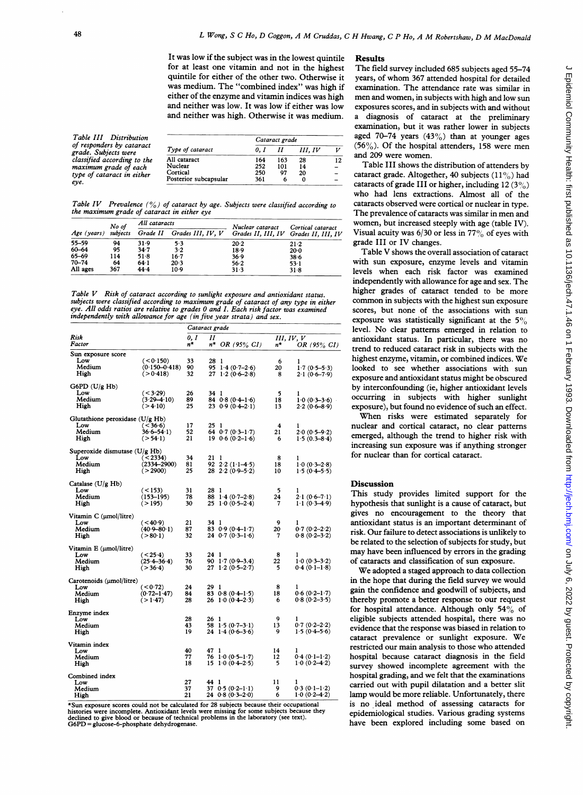It was low if the subject was in the lowest quintile for at least one vitamin and not in the highest quintile for either of the other two. Otherwise it was medium. The "combined index" was high if either of the enzyme and vitamin indices was high and neither was low. It was low if either was low and neither was high. Otherwise it was medium.

| Table III Distribution                            | Cataract grade        |      |     |         |    |
|---------------------------------------------------|-----------------------|------|-----|---------|----|
| of responders by cataract<br>grade. Subjects were | Type of cataract      | 0. I | Н   | III, IV | v  |
| classified according to the                       | All cataract          | 164  | 163 | 28      | 12 |
| maximum grade of each                             | Nuclear               | 252  | 101 | 14      |    |
| type of cataract in either                        | Cortical              | 250  | 97  | 20      |    |
| eye.                                              | Posterior subcapsular | 361  |     |         |    |

Table IV Prevalence  $(\%)$  of cataract by age. Subjects were classified according to the maximum grade of cataract in either eye

|             | No of<br>subiects | All cataracts |                            | Nuclear cataract                      | Cortical cataract |  |
|-------------|-------------------|---------------|----------------------------|---------------------------------------|-------------------|--|
| Age (years) |                   |               | Grade II Grades III, IV, V | Grades II, III, IV Grades II, III, IV |                   |  |
| 55-59       | 94                | 31.9          | 5.3                        | $20-2$                                | $21-2$            |  |
| 60-64       | 95                | 34.7          | 3.2                        | 18.9                                  | 20.0              |  |
| 65-69       | 114               | 51.8          | $16-7$                     | 36.9                                  | 38.6              |  |
| $70 - 74$   | 64                | 64.1          | $20-3$                     | 56.2                                  | $53-1$            |  |
| All ages    | 367               | 4444          | $10-9$                     | 31.3                                  | 31.8              |  |

Table V Risk of cataract according to sunlight exposure and antioxidant status. subjects were classified according to maximum grade of cataract of any type in either eye. All odds ratios are relative to grades 0 and I. Each risk factor was examined independently with allowance for age (in five year strata) and sex.

|                                          |                             | Cataract grade      |                                                                                        |                           |                                    |  |
|------------------------------------------|-----------------------------|---------------------|----------------------------------------------------------------------------------------|---------------------------|------------------------------------|--|
| Risk<br>Factor                           |                             | 0, I<br>$n^{\star}$ | $_{II}$<br>$n^{\star}$<br>OR $(95\% \ CI)$                                             | III, IV, V<br>$n^{\star}$ | OR $(95\% \ CI)$                   |  |
| Sun exposure score                       |                             |                     |                                                                                        |                           |                                    |  |
| Low                                      | (< 0.150)                   | 33                  | 28 1                                                                                   | 6                         | 1                                  |  |
| Medium                                   | $(0.150 - 0.418)$           | 90                  | 95 $1.4(0.7-2.6)$                                                                      | 20                        | $1.7(0.5-5.3)$                     |  |
| High                                     | ( > 0.418)                  | 32                  | $27 \quad 1 \cdot 2 \quad (0 \cdot 6 - 2 \cdot 8)$                                     | 8                         | $2.1(0.6 - 7.9)$                   |  |
| $G6PD$ (U/g Hb)                          |                             |                     |                                                                                        |                           |                                    |  |
| Low                                      | (< 3.29)                    | 26                  | 34 1                                                                                   | 5                         | 1                                  |  |
| Medium                                   | $(3.29 - 4.10)$             | 89                  | 84 $0.8(0.4-1.6)$                                                                      | 18                        | $1.0(0.3 - 3.6)$                   |  |
| High                                     | ( > 4.10)                   | 25                  | $23 \t0.9(04-21)$                                                                      | 13                        | $2.2(0.6-8.9)$                     |  |
| Glutathione peroxidase $(U/g Hb)$<br>Low |                             | 17                  | 25 1                                                                                   | 4                         |                                    |  |
| Medium                                   | (< 36.6)<br>$36.6 - 54.1$   | 52                  | 64 $0.7(0.3-1.7)$                                                                      | 21                        | 1<br>$2.0(0.5 - 9.2)$              |  |
| High                                     | ( > 54.1)                   | 21                  | $19 \t0.6 (0.2 - 1.6)$                                                                 | 6                         | $1.5(0.3 - 8.4)$                   |  |
| Superoxide dismutase $(U/g Hb)$          |                             |                     |                                                                                        |                           |                                    |  |
| Low                                      | ( <b>2334</b> )             | 34                  | 21 1                                                                                   | 8                         | 1                                  |  |
| Medium                                   | $(2334 - 2900)$             | 81                  | 92 $2.2(1.1-4.5)$                                                                      | 18                        | $1.0(0.3-2.8)$                     |  |
| High                                     | (>2900)                     | 25                  | $28$ $2$ $2$ $(0.9 - 5.2)$                                                             | 10                        | $1.5(0.4 - 5.5)$                   |  |
| Catalase $(U/g Hb)$                      |                             |                     |                                                                                        |                           |                                    |  |
| Low                                      | (< 153)                     | 31                  | 28 1                                                                                   | 5                         | 1                                  |  |
| Medium                                   | $(153 - 195)$               | 78                  | 88 $1.4(0.7-2.8)$                                                                      | 24                        | $2 \cdot 1$ (0.6–7.1)              |  |
| High                                     | (>195)                      | 30                  | $25 \cdot 1.0 \cdot (0.5 - 2.4)$                                                       | 7                         | $1.1(0.3-4.9)$                     |  |
| Vitamin C (µmol/litre)                   |                             |                     |                                                                                        |                           |                                    |  |
| Low                                      | (< 40.9)                    | 21                  | 34 1                                                                                   | 9                         | 1                                  |  |
| Medium                                   | $(40.9 - 80.1)$             | 87                  | 83 0.9 $(0.4-1.7)$                                                                     | 20                        | $0.7(0.2 - 2.2)$                   |  |
| High                                     | (>80.1)                     | 32                  | $24$ 0.7 (0.3-1.6)                                                                     | 7                         | $0.8(0.2 - 3.2)$                   |  |
| Vitamin E (µmol/litre)                   |                             |                     |                                                                                        |                           |                                    |  |
| Low                                      | (< 25.4)                    | 33                  | 241                                                                                    | 8                         | 1                                  |  |
| Medium<br>High                           | $(25.4 - 36.4)$<br>(>36.4)  | 76<br>30            | $90 \quad 1.7 \quad (0.9 - 3.4)$<br>$27 \quad 1 \quad 2 \quad (0 \quad 5 - 2 \quad 7)$ | 22<br>5                   | $1.0(0.3 - 3.2)$<br>$0.4(0.1-1.8)$ |  |
|                                          |                             |                     |                                                                                        |                           |                                    |  |
| Carotenoids (umol/litre)                 |                             |                     | 291                                                                                    |                           |                                    |  |
| Low<br>Medium                            | (< 0.72)<br>$(0.72 - 1.47)$ | 24<br>84            | 83 $0.8(0.4-1.5)$                                                                      | 8<br>18                   | 1<br>$0.6(0.2 - 1.7)$              |  |
| High                                     | (>1.47)                     | 28                  | $26 \cdot 1 \cdot 0 \cdot (0 \cdot 4 - 2 \cdot 3)$                                     | 6                         | $0.8(0.2 - 3.5)$                   |  |
| Enzyme index                             |                             |                     |                                                                                        |                           |                                    |  |
| Low                                      |                             | 28                  | 26 1                                                                                   | 9                         | 1                                  |  |
| Medium                                   |                             | 43                  | 58 $1.5(0.7-3.1)$                                                                      | 13                        | $0.7(0.2-2.2)$                     |  |
| High                                     |                             | 19                  | $24 \cdot 1 \cdot 4 \cdot (0.6 - 3.6)$                                                 | 9                         | $1.5(0.4-5.6)$                     |  |
| Vitamin index                            |                             |                     |                                                                                        |                           |                                    |  |
| Low                                      |                             | 40                  | 47<br>1                                                                                | 14                        | 1                                  |  |
| Medium                                   |                             | 77<br>18            | 76 $1.0(0.5-1.7)$<br>$15 \quad 1 \cdot 0 \quad (0 \cdot 4 - 2 \cdot 5)$                | 12<br>5                   | $0.4(0.1-1.2)$<br>$1.0(0.2-4.2)$   |  |
| High                                     |                             |                     |                                                                                        |                           |                                    |  |
| Combined index                           |                             |                     |                                                                                        |                           |                                    |  |
| Low<br>Medium                            |                             | 27<br>37            | 44 1<br>37 $0.5(0.2-1.1)$                                                              | 11<br>9                   | 1<br>$0.3(0.1-1.2)$                |  |
| High                                     |                             | 21                  | $24 \t0.8(0.3-2.0)$                                                                    | 6                         | $1.0(0.2-4.2)$                     |  |
|                                          |                             |                     |                                                                                        |                           |                                    |  |

\*Sun exposure scores could not be calculated for 28 subjects because their occupational were incomplete. Antioxidant levels were missing for some subjects because they declined to give blood or because of technical problems in the laboratory (see text).  $G6PD =$  glucose-6-phosphate dehydrogenase.

# Results

The field survey included 685 subjects aged 55-74 years, of whom 367 attended hospital for detailed examination. The attendance rate was similar in men and women, in subjects with high and low sun exposures scores, and in subjects with and without a diagnosis of cataract at the preliminary examination, but it was rather lower in subjects aged 70-74 years  $(43\%)$  than at younger ages (56%). Of the hospital attenders, 158 were men and 209 were women.

Table III shows the distribution of attenders by cataract grade. Altogether, 40 subjects  $(11\%)$  had cataracts of grade III or higher, including  $12 (3\%)$ who had lens extractions. Almost all of the cataracts observed were cortical or nuclear in type. The prevalence of cataracts was similar in men and women, but increased steeply with age (table IV). Visual acuity was  $6/30$  or less in  $77\%$  of eyes with grade III or IV changes.

Table V shows the overall association of cataract with sun exposure, enzyme levels and vitamin levels when each risk factor was examined independently with allowance for age and sex. The higher grades of cataract tended to be more common in subjects with the highest sun exposure scores, but none of the associations with sun exposure was statistically significant at the  $5\%$ level. No clear patterns emerged in relation to antioxidant status. In particular, there was no trend to reduced cataract risk in subjects with the highest enzyme, vitamin, or combined indices. We looked to see whether associations with sun exposure and antioxidant status might be obscured by interconfounding (ie, higher antioxidant levels occurring in subjects with higher sunlight exposure), but found no evidence of such an effect.

When risks were estimated separately for nuclear and cortical cataract, no clear patterns emerged, although the trend to higher risk with increasing sun exposure was if anything stronger for nuclear than for cortical cataract.

#### Discussion

This study provides limited support for the hypothesis that sunlight is a cause of cataract, but gives no encouragement to the theory that antioxidant status is an important determinant of risk. Our failure to detect associations is unlikely to be related to the selection of subjects for study, but may have been influenced by errors in the grading of cataracts and classification of sun exposure.

We adopted <sup>a</sup> staged approach to data collection in the hope that during the field survey we would gain the confidence and goodwill of subjects, and thereby promote <sup>a</sup> better response to our request for hospital attendance. Although only 54% of eligible subjects attended hospital, there was no evidence that the response was biased in relation to cataract prevalence or sunlight exposure. We restricted our main analysis to those who attended hospital because cataract diagnosis in the field survey showed incomplete agreement with the hospital grading, and we felt that the examinations carried out with pupil dilatation and <sup>a</sup> better slit lamp would be more reliable. Unfortunately, there is no ideal method of assessing cataracts for epidemiological studies. Various grading systems have been explored including some based on